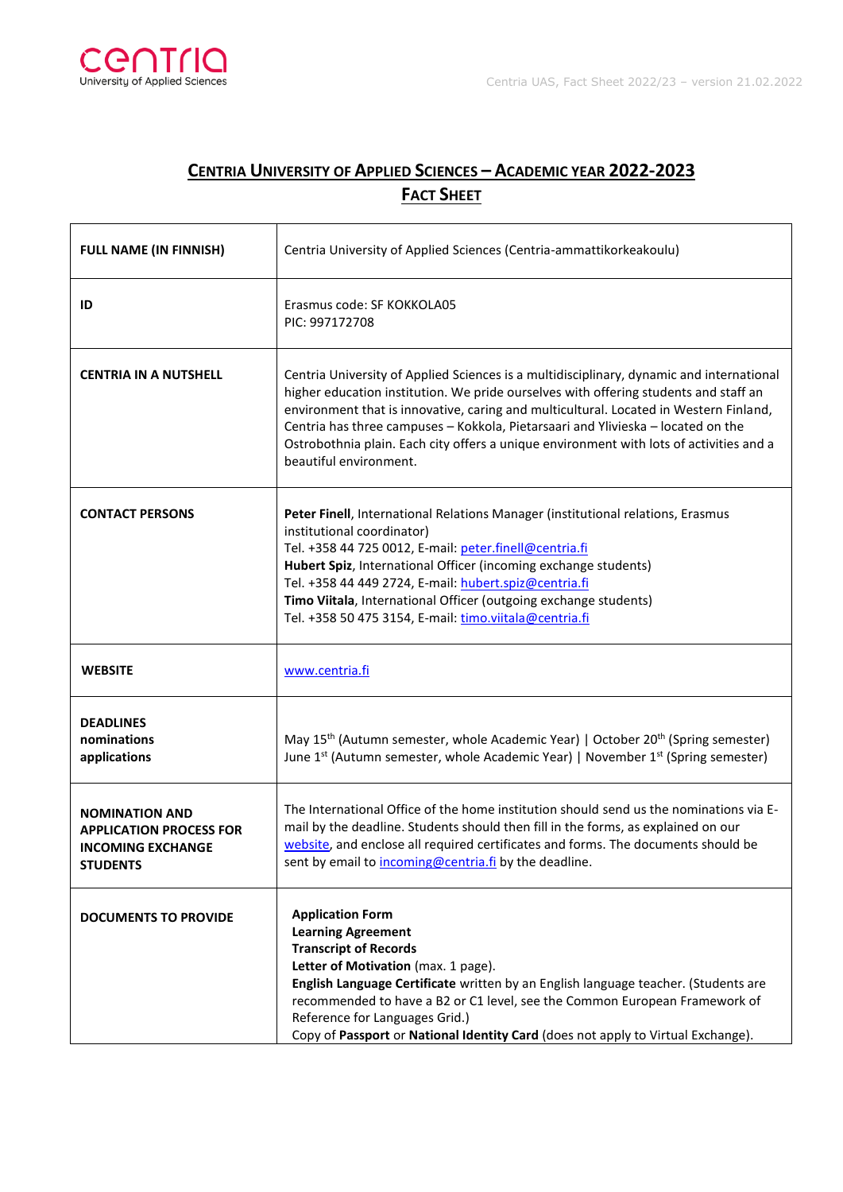

## **CENTRIA UNIVERSITY OF APPLIED SCIENCES – ACADEMIC YEAR 2022-2023 FACT SHEET**

| <b>FULL NAME (IN FINNISH)</b>                                                                   | Centria University of Applied Sciences (Centria-ammattikorkeakoulu)                                                                                                                                                                                                                                                                                                                                                                                                                |
|-------------------------------------------------------------------------------------------------|------------------------------------------------------------------------------------------------------------------------------------------------------------------------------------------------------------------------------------------------------------------------------------------------------------------------------------------------------------------------------------------------------------------------------------------------------------------------------------|
| ID                                                                                              | Erasmus code: SF KOKKOLA05<br>PIC: 997172708                                                                                                                                                                                                                                                                                                                                                                                                                                       |
| <b>CENTRIA IN A NUTSHELL</b>                                                                    | Centria University of Applied Sciences is a multidisciplinary, dynamic and international<br>higher education institution. We pride ourselves with offering students and staff an<br>environment that is innovative, caring and multicultural. Located in Western Finland,<br>Centria has three campuses - Kokkola, Pietarsaari and Ylivieska - located on the<br>Ostrobothnia plain. Each city offers a unique environment with lots of activities and a<br>beautiful environment. |
| <b>CONTACT PERSONS</b>                                                                          | Peter Finell, International Relations Manager (institutional relations, Erasmus<br>institutional coordinator)<br>Tel. +358 44 725 0012, E-mail: peter.finell@centria.fi<br>Hubert Spiz, International Officer (incoming exchange students)<br>Tel. +358 44 449 2724, E-mail: hubert.spiz@centria.fi<br>Timo Viitala, International Officer (outgoing exchange students)<br>Tel. +358 50 475 3154, E-mail: timo.viitala@centria.fi                                                  |
| <b>WEBSITE</b>                                                                                  | www.centria.fi                                                                                                                                                                                                                                                                                                                                                                                                                                                                     |
| <b>DEADLINES</b><br>nominations<br>applications                                                 | May 15 <sup>th</sup> (Autumn semester, whole Academic Year)   October 20 <sup>th</sup> (Spring semester)<br>June $1^{st}$ (Autumn semester, whole Academic Year)   November $1^{st}$ (Spring semester)                                                                                                                                                                                                                                                                             |
| <b>NOMINATION AND</b><br><b>APPLICATION PROCESS FOR</b><br><b>INCOMING EXCHANGE</b><br>STUDENTS | The International Office of the home institution should send us the nominations via E-<br>mail by the deadline. Students should then fill in the forms, as explained on our<br>website, and enclose all required certificates and forms. The documents should be<br>sent by email to incoming@centria.fi by the deadline.                                                                                                                                                          |
| <b>DOCUMENTS TO PROVIDE</b>                                                                     | <b>Application Form</b><br><b>Learning Agreement</b><br><b>Transcript of Records</b><br>Letter of Motivation (max. 1 page).<br>English Language Certificate written by an English language teacher. (Students are<br>recommended to have a B2 or C1 level, see the Common European Framework of<br>Reference for Languages Grid.)<br>Copy of Passport or National Identity Card (does not apply to Virtual Exchange).                                                              |